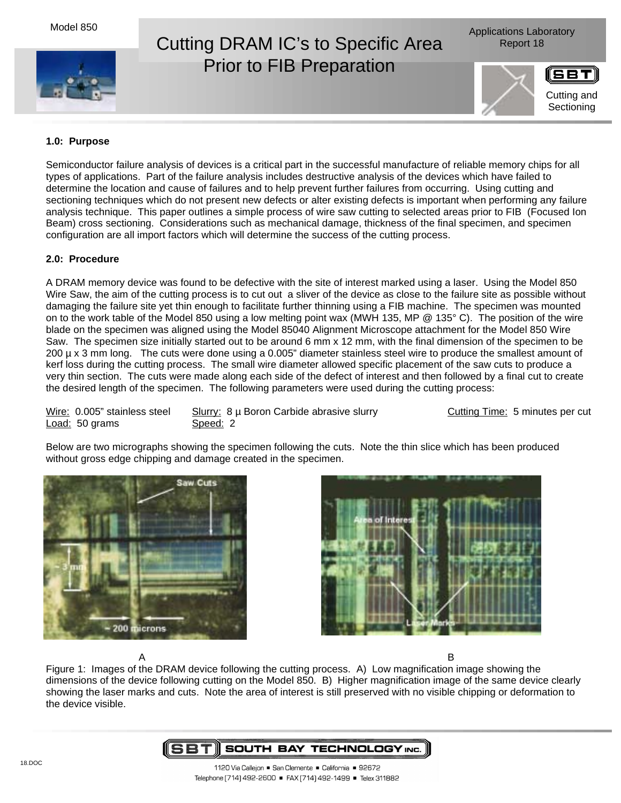Model 850



## Cutting DRAM IC's to Specific Area Report 18 Prior to FIB Preparation





## **1.0: Purpose**

Semiconductor failure analysis of devices is a critical part in the successful manufacture of reliable memory chips for all types of applications. Part of the failure analysis includes destructive analysis of the devices which have failed to determine the location and cause of failures and to help prevent further failures from occurring. Using cutting and sectioning techniques which do not present new defects or alter existing defects is important when performing any failure analysis technique. This paper outlines a simple process of wire saw cutting to selected areas prior to FIB (Focused Ion Beam) cross sectioning. Considerations such as mechanical damage, thickness of the final specimen, and specimen configuration are all import factors which will determine the success of the cutting process.

## **2.0: Procedure**

A DRAM memory device was found to be defective with the site of interest marked using a laser. Using the Model 850 Wire Saw, the aim of the cutting process is to cut out a sliver of the device as close to the failure site as possible without damaging the failure site yet thin enough to facilitate further thinning using a FIB machine. The specimen was mounted on to the work table of the Model 850 using a low melting point wax (MWH 135, MP @ 135° C). The position of the wire blade on the specimen was aligned using the Model 85040 Alignment Microscope attachment for the Model 850 Wire Saw. The specimen size initially started out to be around 6 mm x 12 mm, with the final dimension of the specimen to be 200 µ x 3 mm long. The cuts were done using a 0.005" diameter stainless steel wire to produce the smallest amount of kerf loss during the cutting process. The small wire diameter allowed specific placement of the saw cuts to produce a very thin section. The cuts were made along each side of the defect of interest and then followed by a final cut to create the desired length of the specimen. The following parameters were used during the cutting process:

Load: 50 grams Speed: 2

Wire: 0.005" stainless steel Slurry: 8 µ Boron Carbide abrasive slurry Cutting Time: 5 minutes per cut

Below are two micrographs showing the specimen following the cuts. Note the thin slice which has been produced without gross edge chipping and damage created in the specimen.





A B Figure 1: Images of the DRAM device following the cutting process. A) Low magnification image showing the dimensions of the device following cutting on the Model 850. B) Higher magnification image of the same device clearly showing the laser marks and cuts. Note the area of interest is still preserved with no visible chipping or deformation to the device visible.